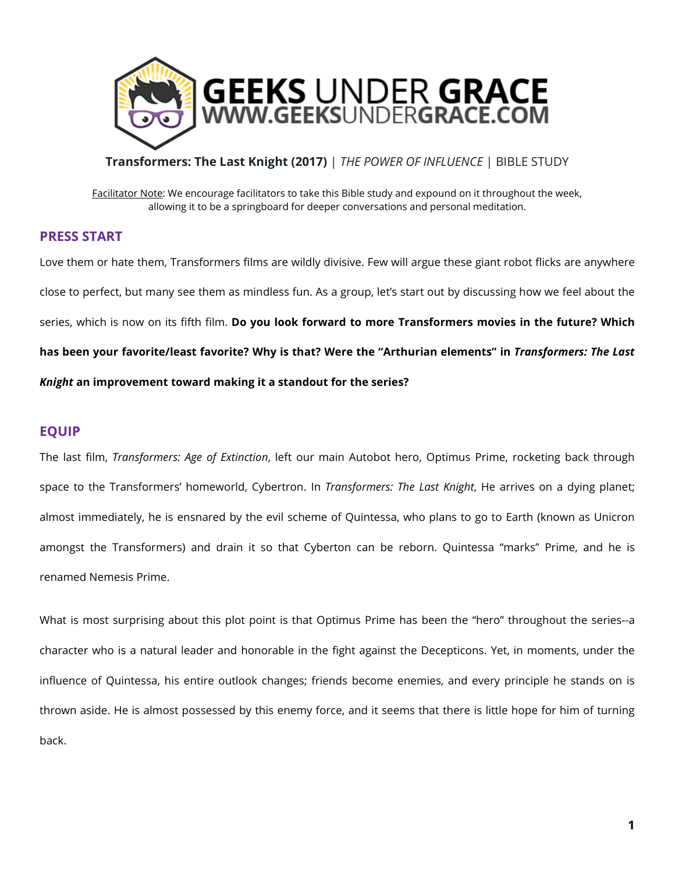

## **Transformers: The Last Knight (2017)** | *THE POWER OF INFLUENCE* | BIBLE STUDY

Facilitator Note: We encourage facilitators to take this Bible study and expound on it throughout the week, allowing it to be a springboard for deeper conversations and personal meditation.

# **PRESS START**

Love them or hate them, Transformers films are wildly divisive. Few will argue these giant robot flicks are anywhere close to perfect, but many see them as mindless fun. As a group, let's start out by discussing how we feel about the series, which is now on its fifth film. **Do you look forward to more Transformers movies in the future? Which has been your favorite/least favorite? Why is that? Were the "Arthurian elements" in** *Transformers: The Last Knight* **an improvement toward making it a standout for the series?**

## **EQUIP**

The last film, *Transformers: Age of Extinction*, left our main Autobot hero, Optimus Prime, rocketing back through space to the Transformers' homeworld, Cybertron. In *Transformers: The Last Knight*, He arrives on a dying planet; almost immediately, he is ensnared by the evil scheme of Quintessa, who plans to go to Earth (known as Unicron amongst the Transformers) and drain it so that Cyberton can be reborn. Quintessa "marks" Prime, and he is renamed Nemesis Prime.

What is most surprising about this plot point is that Optimus Prime has been the "hero" throughout the series--a character who is a natural leader and honorable in the fight against the Decepticons. Yet, in moments, under the influence of Quintessa, his entire outlook changes; friends become enemies, and every principle he stands on is thrown aside. He is almost possessed by this enemy force, and it seems that there is little hope for him of turning back.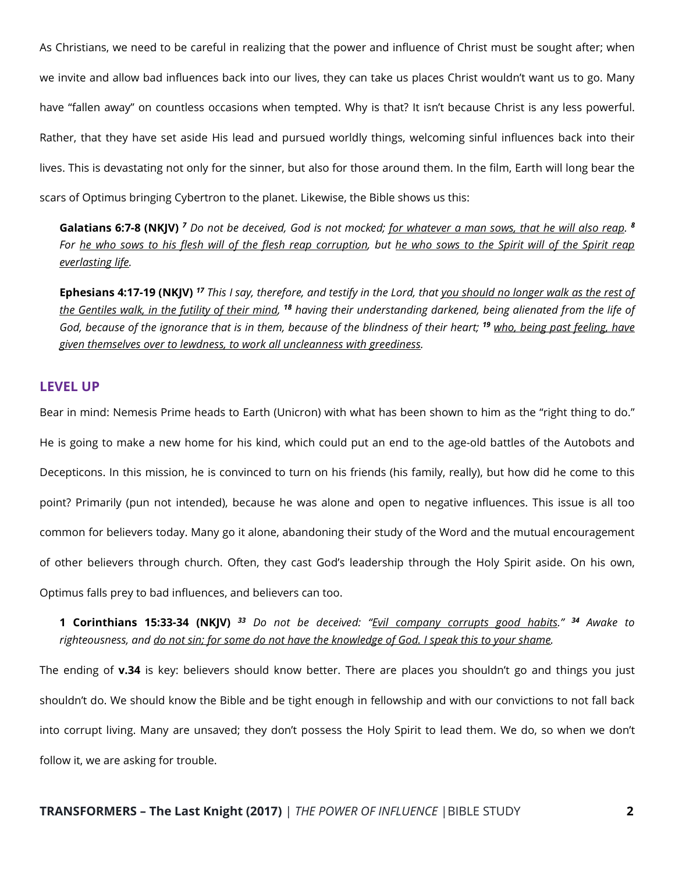As Christians, we need to be careful in realizing that the power and influence of Christ must be sought after; when we invite and allow bad influences back into our lives, they can take us places Christ wouldn't want us to go. Many have "fallen away" on countless occasions when tempted. Why is that? It isn't because Christ is any less powerful. Rather, that they have set aside His lead and pursued worldly things, welcoming sinful influences back into their lives. This is devastating not only for the sinner, but also for those around them. In the film, Earth will long bear the scars of Optimus bringing Cybertron to the planet. Likewise, the Bible shows us this:

**Galatians 6:7-8 (NKJV)** *<sup>7</sup> Do not be deceived, God is not mocked; for whatever a man sows, that he will also reap. <sup>8</sup> For he who sows to his flesh will of the flesh reap corruption, but he who sows to the Spirit will of the Spirit reap everlasting life.*

**Ephesians 4:17-19 (NKJV)** *<sup>17</sup> This I say, therefore, and testify in the Lord, that you should no longer walk as the rest of the Gentiles walk, in the futility of their mind, <sup>18</sup> having their understanding darkened, being alienated from the life of God, because of the ignorance that is in them, because of the blindness of their heart; <sup>19</sup> who, being past feeling, have given themselves over to lewdness, to work all uncleanness with greediness.*

#### **LEVEL UP**

Bear in mind: Nemesis Prime heads to Earth (Unicron) with what has been shown to him as the "right thing to do." He is going to make a new home for his kind, which could put an end to the age-old battles of the Autobots and Decepticons. In this mission, he is convinced to turn on his friends (his family, really), but how did he come to this point? Primarily (pun not intended), because he was alone and open to negative influences. This issue is all too common for believers today. Many go it alone, abandoning their study of the Word and the mutual encouragement of other believers through church. Often, they cast God's leadership through the Holy Spirit aside. On his own, Optimus falls prey to bad influences, and believers can too.

**1 Corinthians 15:33-34 (NKJV)** *<sup>33</sup> Do not be deceived: "Evil company corrupts good habits." <sup>34</sup> Awake to righteousness, and do not sin; for some do not have the knowledge of God. I speak this to your shame.*

The ending of **v.34** is key: believers should know better. There are places you shouldn't go and things you just shouldn't do. We should know the Bible and be tight enough in fellowship and with our convictions to not fall back into corrupt living. Many are unsaved; they don't possess the Holy Spirit to lead them. We do, so when we don't follow it, we are asking for trouble.